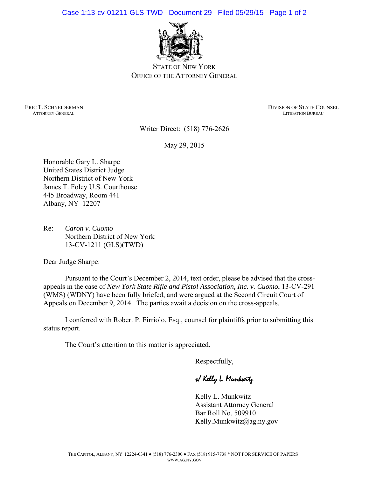Case 1:13-cv-01211-GLS-TWD Document 29 Filed 05/29/15 Page 1 of 2



STATE OF NEW YORK OFFICE OF THE ATTORNEY GENERAL

**ATTORNEY GENERAL** 

ERIC T. SCHNEIDERMAN DIVISION OF STATE COUNSEL ATTORNEY GENERAL ATTORNEY GENERAL ATTORNEY GENERAL PUBLICATION OF STATE COUNSEL

Writer Direct: (518) 776-2626

May 29, 2015

Honorable Gary L. Sharpe United States District Judge Northern District of New York James T. Foley U.S. Courthouse 445 Broadway, Room 441 Albany, NY 12207

Re: *Caron v. Cuomo*  Northern District of New York 13-CV-1211 (GLS)(TWD)

Dear Judge Sharpe:

 Pursuant to the Court's December 2, 2014, text order, please be advised that the crossappeals in the case of *New York State Rifle and Pistol Association, Inc. v. Cuomo*, 13-CV-291 (WMS) (WDNY) have been fully briefed, and were argued at the Second Circuit Court of Appeals on December 9, 2014. The parties await a decision on the cross-appeals.

 I conferred with Robert P. Firriolo, Esq., counsel for plaintiffs prior to submitting this status report.

The Court's attention to this matter is appreciated.

Respectfully,

s/ Kelly L. Munkwitz

Kelly L. Munkwitz Assistant Attorney General Bar Roll No. 509910 Kelly.Munkwitz@ag.ny.gov